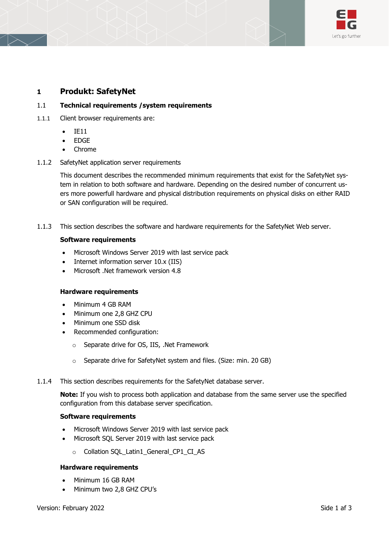

## **1 Produkt: SafetyNet**

### 1.1 **Technical requirements /system requirements**

- 1.1.1 Client browser requirements are:
	- IE11
	- EDGE
	- Chrome
- 1.1.2 SafetyNet application server requirements

This document describes the recommended minimum requirements that exist for the SafetyNet system in relation to both software and hardware. Depending on the desired number of concurrent users more powerfull hardware and physical distribution requirements on physical disks on either RAID or SAN configuration will be required.

1.1.3 This section describes the software and hardware requirements for the SafetyNet Web server.

#### **Software requirements**

- Microsoft Windows Server 2019 with last service pack
- Internet information server 10.x (IIS)
- Microsoft .Net framework version 4.8

#### **Hardware requirements**

- Minimum 4 GB RAM
- Minimum one 2,8 GHZ CPU
- Minimum one SSD disk
- Recommended configuration:
	- o Separate drive for OS, IIS, .Net Framework
	- o Separate drive for SafetyNet system and files. (Size: min. 20 GB)
- 1.1.4 This section describes requirements for the SafetyNet database server.

**Note:** If you wish to process both application and database from the same server use the specified configuration from this database server specification.

#### **Software requirements**

- Microsoft Windows Server 2019 with last service pack
- Microsoft SQL Server 2019 with last service pack
	- o Collation SQL\_Latin1\_General\_CP1\_CI\_AS

#### **Hardware requirements**

- Minimum 16 GB RAM
- Minimum two 2,8 GHZ CPU's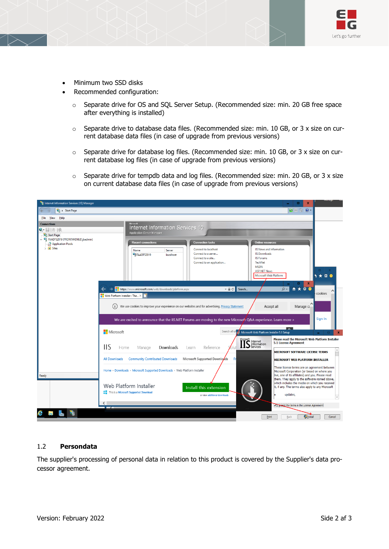

- Minimum two SSD disks
- Recommended configuration:
	- o Separate drive for OS and SQL Server Setup. (Recommended size: min. 20 GB free space after everything is installed)
	- $\circ$  Separate drive to database data files. (Recommended size: min. 10 GB, or 3 x size on current database data files (in case of upgrade from previous versions)
	- $\circ$  Separate drive for database log files. (Recommended size: min. 10 GB, or 3 x size on current database log files (in case of upgrade from previous versions)
	- $\circ$  Separate drive for tempdb data and log files. (Recommended size: min. 20 GB, or 3 x size on current database data files (in case of upgrade from previous versions)



## 1.2 **Persondata**

The supplier's processing of personal data in relation to this product is covered by the Supplier's data processor agreement.